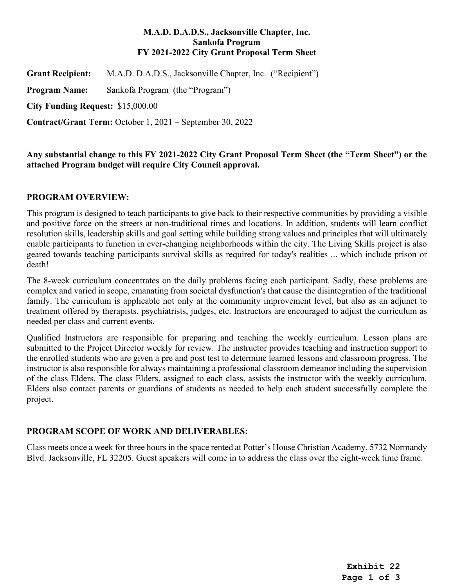#### **M.A.D. D.A.D.S., Jacksonville Chapter, Inc. Sankofa Program FY 2021-2022 City Grant Proposal Term Sheet**

**Grant Recipient:** M.A.D. D.A.D.S., Jacksonville Chapter, Inc. ("Recipient")

**Program Name:** Sankofa Program (the "Program")

**City Funding Request:** \$15,000.00

**Contract/Grant Term:** October 1, 2021 – September 30, 2022

**Any substantial change to this FY 2021-2022 City Grant Proposal Term Sheet (the "Term Sheet") or the attached Program budget will require City Council approval.** 

## **PROGRAM OVERVIEW:**

This program is designed to teach participants to give back to their respective communities by providing a visible and positive force on the streets at non-traditional times and locations. In addition, students will learn conflict resolution skills, leadership skills and goal setting while building strong values and principles that will ultimately enable participants to function in ever-changing neighborhoods within the city. The Living Skills project is also geared towards teaching participants survival skills as required for today's realities ... which include prison or death!

The 8-week curriculum concentrates on the daily problems facing each participant. Sadly, these problems are complex and varied in scope, emanating from societal dysfunction's that cause the disintegration of the traditional family. The curriculum is applicable not only at the community improvement level, but also as an adjunct to treatment offered by therapists, psychiatrists, judges, etc. Instructors are encouraged to adjust the curriculum as needed per class and current events.

Qualified Instructors are responsible for preparing and teaching the weekly curriculum. Lesson plans are submitted to the Project Director weekly for review. The instructor provides teaching and instruction support to the enrolled students who are given a pre and post test to determine learned lessons and classroom progress. The instructor is also responsible for always maintaining a professional classroom demeanor including the supervision of the class Elders. The class Elders, assigned to each class, assists the instructor with the weekly curriculum. Elders also contact parents or guardians of students as needed to help each student successfully complete the project.

# **PROGRAM SCOPE OF WORK AND DELIVERABLES:**

Class meets once a week for three hours in the space rented at Potter's House Christian Academy, 5732 Normandy Blvd. Jacksonville, FL 32205. Guest speakers will come in to address the class over the eight-week time frame.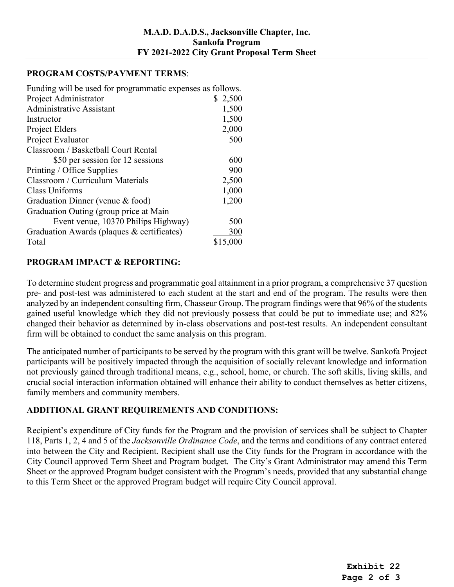#### **PROGRAM COSTS/PAYMENT TERMS**:

Funding will be used for programmatic expenses as follows.

| Project Administrator                      | \$2,500  |  |  |
|--------------------------------------------|----------|--|--|
| <b>Administrative Assistant</b>            | 1,500    |  |  |
| Instructor                                 | 1,500    |  |  |
| Project Elders                             | 2,000    |  |  |
| Project Evaluator                          | 500      |  |  |
| Classroom / Basketball Court Rental        |          |  |  |
| \$50 per session for 12 sessions           | 600      |  |  |
| Printing / Office Supplies                 | 900      |  |  |
| Classroom / Curriculum Materials           | 2,500    |  |  |
| Class Uniforms                             | 1,000    |  |  |
| Graduation Dinner (venue & food)           | 1,200    |  |  |
| Graduation Outing (group price at Main     |          |  |  |
| Event venue, 10370 Philips Highway)        | 500      |  |  |
| Graduation Awards (plaques & certificates) | 300      |  |  |
| Total                                      | \$15,000 |  |  |

## **PROGRAM IMPACT & REPORTING:**

To determine student progress and programmatic goal attainment in a prior program, a comprehensive 37 question pre- and post-test was administered to each student at the start and end of the program. The results were then analyzed by an independent consulting firm, Chasseur Group. The program findings were that 96% of the students gained useful knowledge which they did not previously possess that could be put to immediate use; and 82% changed their behavior as determined by in-class observations and post-test results. An independent consultant firm will be obtained to conduct the same analysis on this program.

The anticipated number of participants to be served by the program with this grant will be twelve. Sankofa Project participants will be positively impacted through the acquisition of socially relevant knowledge and information not previously gained through traditional means, e.g., school, home, or church. The soft skills, living skills, and crucial social interaction information obtained will enhance their ability to conduct themselves as better citizens, family members and community members.

# **ADDITIONAL GRANT REQUIREMENTS AND CONDITIONS:**

Recipient's expenditure of City funds for the Program and the provision of services shall be subject to Chapter 118, Parts 1, 2, 4 and 5 of the *Jacksonville Ordinance Code*, and the terms and conditions of any contract entered into between the City and Recipient. Recipient shall use the City funds for the Program in accordance with the City Council approved Term Sheet and Program budget. The City's Grant Administrator may amend this Term Sheet or the approved Program budget consistent with the Program's needs, provided that any substantial change to this Term Sheet or the approved Program budget will require City Council approval.